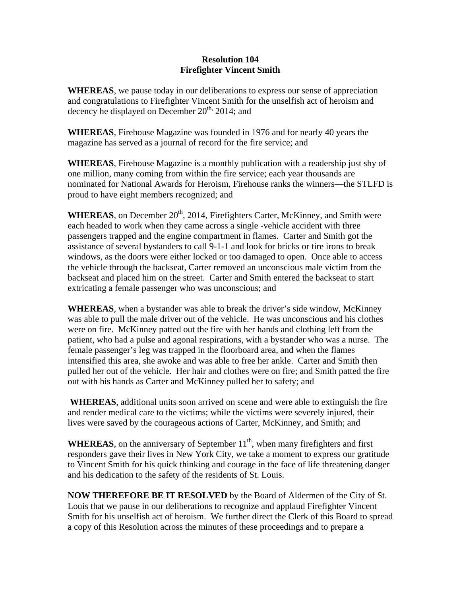## **Resolution 104 Firefighter Vincent Smith**

**WHEREAS**, we pause today in our deliberations to express our sense of appreciation and congratulations to Firefighter Vincent Smith for the unselfish act of heroism and decency he displayed on December 20<sup>th,</sup> 2014; and

**WHEREAS**, Firehouse Magazine was founded in 1976 and for nearly 40 years the magazine has served as a journal of record for the fire service; and

**WHEREAS**, Firehouse Magazine is a monthly publication with a readership just shy of one million, many coming from within the fire service; each year thousands are nominated for National Awards for Heroism, Firehouse ranks the winners—the STLFD is proud to have eight members recognized; and

WHEREAS, on December 20<sup>th</sup>, 2014, Firefighters Carter, McKinney, and Smith were each headed to work when they came across a single -vehicle accident with three passengers trapped and the engine compartment in flames. Carter and Smith got the assistance of several bystanders to call 9-1-1 and look for bricks or tire irons to break windows, as the doors were either locked or too damaged to open. Once able to access the vehicle through the backseat, Carter removed an unconscious male victim from the backseat and placed him on the street. Carter and Smith entered the backseat to start extricating a female passenger who was unconscious; and

**WHEREAS**, when a bystander was able to break the driver's side window, McKinney was able to pull the male driver out of the vehicle. He was unconscious and his clothes were on fire. McKinney patted out the fire with her hands and clothing left from the patient, who had a pulse and agonal respirations, with a bystander who was a nurse. The female passenger's leg was trapped in the floorboard area, and when the flames intensified this area, she awoke and was able to free her ankle. Carter and Smith then pulled her out of the vehicle. Her hair and clothes were on fire; and Smith patted the fire out with his hands as Carter and McKinney pulled her to safety; and

 **WHEREAS**, additional units soon arrived on scene and were able to extinguish the fire and render medical care to the victims; while the victims were severely injured, their lives were saved by the courageous actions of Carter, McKinney, and Smith; and

**WHEREAS**, on the anniversary of September  $11<sup>th</sup>$ , when many firefighters and first responders gave their lives in New York City, we take a moment to express our gratitude to Vincent Smith for his quick thinking and courage in the face of life threatening danger and his dedication to the safety of the residents of St. Louis.

**NOW THEREFORE BE IT RESOLVED** by the Board of Aldermen of the City of St. Louis that we pause in our deliberations to recognize and applaud Firefighter Vincent Smith for his unselfish act of heroism. We further direct the Clerk of this Board to spread a copy of this Resolution across the minutes of these proceedings and to prepare a